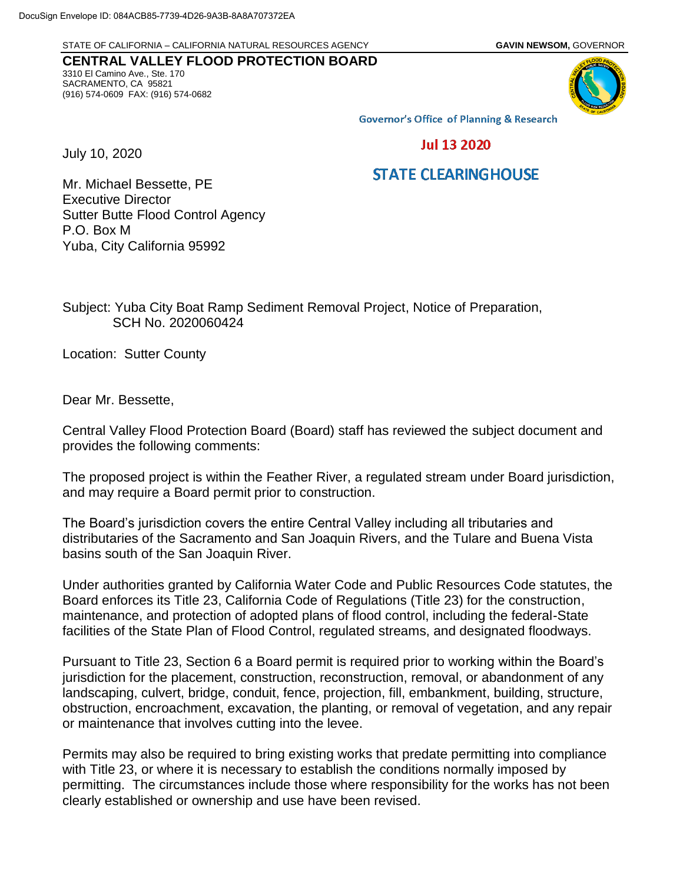STATE OF CALIFORNIA – CALIFORNIA NATURAL RESOURCES AGENCY **GAVIN NEWSOM,** GOVERNOR

## **CENTRAL VALLEY FLOOD PROTECTION BOARD** 3310 El Camino Ave., Ste. 170 SACRAMENTO, CA 95821 (916) 574-0609 FAX: (916) 574-0682



**Governor's Office of Planning & Research** 

**Jul 13 2020** 

## **STATE CLEARINGHOUSE**

Mr. Michael Bessette, PE Executive Director Sutter Butte Flood Control Agency P.O. Box M Yuba, City California 95992

Subject: Yuba City Boat Ramp Sediment Removal Project, Notice of Preparation, SCH No. 2020060424

Location: Sutter County

Dear Mr. Bessette,

July 10, 2020

Central Valley Flood Protection Board (Board) staff has reviewed the subject document and provides the following comments:

The proposed project is within the Feather River, a regulated stream under Board jurisdiction, and may require a Board permit prior to construction.

The Board's jurisdiction covers the entire Central Valley including all tributaries and distributaries of the Sacramento and San Joaquin Rivers, and the Tulare and Buena Vista basins south of the San Joaquin River.

Under authorities granted by California Water Code and Public Resources Code statutes, the Board enforces its Title 23, California Code of Regulations (Title 23) for the construction, maintenance, and protection of adopted plans of flood control, including the federal-State facilities of the State Plan of Flood Control, regulated streams, and designated floodways.

Pursuant to Title 23, Section 6 a Board permit is required prior to working within the Board's jurisdiction for the placement, construction, reconstruction, removal, or abandonment of any landscaping, culvert, bridge, conduit, fence, projection, fill, embankment, building, structure, obstruction, encroachment, excavation, the planting, or removal of vegetation, and any repair or maintenance that involves cutting into the levee.

Permits may also be required to bring existing works that predate permitting into compliance with Title 23, or where it is necessary to establish the conditions normally imposed by permitting. The circumstances include those where responsibility for the works has not been clearly established or ownership and use have been revised.